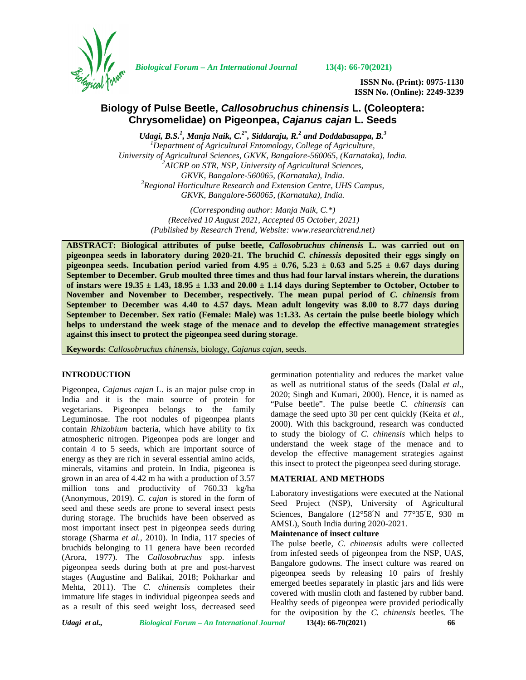

*Biological Forum – An International Journal* **13(4): 66-70(2021)**

**ISSN No. (Print): 0975-1130 ISSN No. (Online): 2249-3239**

# **Biology of Pulse Beetle,** *Callosobruchus chinensis* **L. (Coleoptera: Chrysomelidae) on Pigeonpea,** *Cajanus cajan* **L. Seeds**

*Udagi, B.S.<sup>1</sup> , Manja Naik, C.2\* , Siddaraju, R.<sup>2</sup> and Doddabasappa, B.<sup>3</sup> <sup>1</sup>Department of Agricultural Entomology, College of Agriculture, University of Agricultural Sciences, GKVK, Bangalore-560065, (Karnataka), India. <sup>2</sup>AICRP on STR, NSP, University of Agricultural Sciences, GKVK, Bangalore-560065, (Karnataka), India. <sup>3</sup>Regional Horticulture Research and Extension Centre, UHS Campus, GKVK, Bangalore-560065, (Karnataka), India.*

> *(Corresponding author: Manja Naik, C.\*) (Received 10 August 2021, Accepted 05 October, 2021) (Published by Research Trend, Website: [www.researchtrend.net\)](www.researchtrend.net)*

**ABSTRACT: Biological attributes of pulse beetle,** *Callosobruchus chinensis* **L. was carried out on pigeonpea seeds in laboratory during 2020-21. The bruchid** *C. chinessis* **deposited their eggs singly on pigeonpea seeds.** Incubation period varied from  $4.95 \pm 0.76$ ,  $5.23 \pm 0.63$  and  $5.25 \pm 0.67$  days during **September to December. Grub moulted three times and thus had four larval instars wherein, the durations** of instars were  $19.35 \pm 1.43$ ,  $18.95 \pm 1.33$  and  $20.00 \pm 1.14$  days during September to October, October to **November and November to December, respectively. The mean pupal period of** *C. chinensis* **from September to December was 4.40 to 4.57 days. Mean adult longevity was 8.00 to 8.77 days during September to December. Sex ratio (Female: Male) was 1:1.33. As certain the pulse beetle biology which helps to understand the week stage of the menace and to develop the effective management strategies against this insect to protect the pigeonpea seed during storage**.

**Keywords**: *Callosobruchus chinensis*, biology, *Cajanus cajan,* seeds.

## **INTRODUCTION**

Pigeonpea, *Cajanus cajan* L. is an major pulse crop in India and it is the main source of protein for vegetarians. Pigeonpea belongs to the family Leguminosae. The root nodules of pigeonpea plants contain *Rhizobium* bacteria, which have ability to fix atmospheric nitrogen. Pigeonpea pods are longer and contain 4 to 5 seeds, which are important source of energy as they are rich in several essential amino acids, minerals, vitamins and protein. In India, pigeonea is grown in an area of 4.42 m ha with a production of 3.57 million tons and productivity of 760.33 kg/ha (Anonymous, 2019). *C. cajan* is stored in the form of seed and these seeds are prone to several insect pests during storage. The bruchids have been observed as most important insect pest in pigeonpea seeds during storage (Sharma *et al.,* 2010). In India, 117 species of bruchids belonging to 11 genera have been recorded (Arora, 1977). The *Callosobruchus* spp. infests pigeonpea seeds during both at pre and post-harvest stages (Augustine and Balikai, 2018; Pokharkar and Mehta, 2011). The *C. chinensis* completes their immature life stages in individual pigeonpea seeds and as a result of this seed weight loss, decreased seed

germination potentiality and reduces the market value as well as nutritional status of the seeds (Dalal *et al*., 2020; Singh and Kumari, 2000). Hence, it is named as "Pulse beetle". The pulse beetle *C. chinensis* can damage the seed upto 30 per cent quickly (Keita *et al.,* 2000). With this background, research was conducted to study the biology of *C. chinensis* which helps to understand the week stage of the menace and to develop the effective management strategies against this insect to protect the pigeonpea seed during storage.

# **MATERIAL AND METHODS**

Laboratory investigations were executed at the National Seed Project (NSP), University of Agricultural Sciences, Bangalore (12°58′N and 77°35′E, 930 m AMSL), South India during 2020-2021.

## **Maintenance of insect culture**

The pulse beetle, *C. chinensis* adults were collected from infested seeds of pigeonpea from the NSP, UAS, Bangalore godowns. The insect culture was reared on pigeonpea seeds by releasing 10 pairs of freshly emerged beetles separately in plastic jars and lids were covered with muslin cloth and fastened by rubber band. Healthy seeds of pigeonpea were provided periodically for the oviposition by the *C. chinensis* beetles. The

*Udagi et al., Biological Forum – An International Journal* **13(4): 66-70(2021) 66**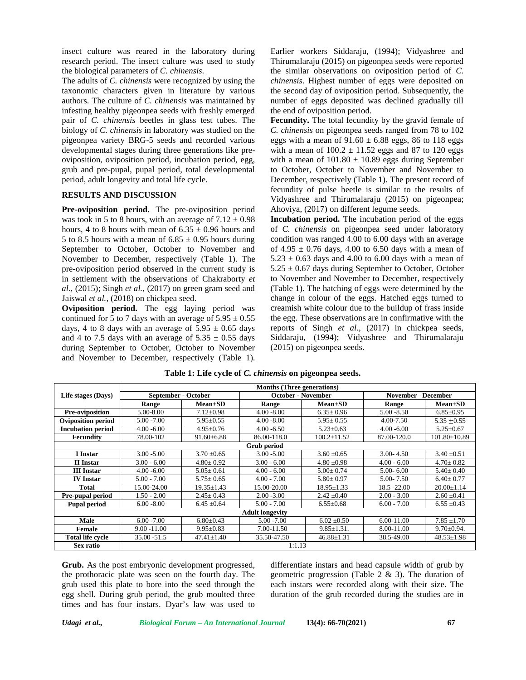insect culture was reared in the laboratory during research period. The insect culture was used to study the biological parameters of *C. chinensis*.

The adults of *C. chinensis* were recognized by using the taxonomic characters given in literature by various authors. The culture of *C. chinensis* was maintained by infesting healthy pigeonpea seeds with freshly emerged pair of *C. chinensis* beetles in glass test tubes. The biology of *C. chinensis* in laboratory was studied on the pigeonpea variety BRG-5 seeds and recorded various developmental stages during three generations like pre oviposition, oviposition period, incubation period, egg, grub and pre-pupal, pupal period, total developmental period, adult longevity and total life cycle.

## **RESULTS AND DISCUSSION**

**Pre-oviposition period.** The pre-oviposition period was took in 5 to 8 hours, with an average of  $7.12 \pm 0.98$ hours, 4 to 8 hours with mean of  $6.35 \pm 0.96$  hours and 5 to 8.5 hours with a mean of  $6.85 \pm 0.95$  hours during September to October, October to November and November to December, respectively (Table 1). The pre-oviposition period observed in the current study is in settlement with the observations of Chakraborty *et al.,* (2015); Singh *et al.,* (2017) on green gram seed and Jaiswal *et al.,* (2018) on chickpea seed.

**Oviposition period.** The egg laying period was continued for 5 to 7 days with an average of  $5.95 \pm 0.55$ days, 4 to 8 days with an average of  $5.95 \pm 0.65$  days and 4 to 7.5 days with an average of  $5.35 \pm 0.55$  days during September to October, October to November and November to December, respectively (Table 1).

Earlier workers Siddaraju, (1994); Vidyashree and Thirumalaraju (2015) on pigeonpea seeds were reported the similar observations on oviposition period of *C. chinensis*. Highest number of eggs were deposited on the second day of oviposition period. Subsequently, the number of eggs deposited was declined gradually till the end of oviposition period.

**Fecundity.** The total fecundity by the gravid female of *C. chinensis* on pigeonpea seeds ranged from 78 to 102 eggs with a mean of  $91.60 \pm 6.88$  eggs, 86 to 118 eggs with a mean of  $100.2 \pm 11.52$  eggs and 87 to 120 eggs with a mean of  $101.80 \pm 10.89$  eggs during September to October, October to November and November to December, respectively (Table 1). The present record of fecundity of pulse beetle is similar to the results of Vidyashree and Thirumalaraju (2015) on pigeonpea; Ahoviya, (2017) on different legume seeds.

**Incubation period.** The incubation period of the eggs of *C. chinensis* on pigeonpea seed under laboratory condition was ranged 4.00 to 6.00 days with an average of 4.95  $\pm$  0.76 days, 4.00 to 6.50 days with a mean of  $5.23 \pm 0.63$  days and 4.00 to 6.00 days with a mean of  $5.25 \pm 0.67$  days during September to October, October to November and November to December, respectively (Table 1). The hatching of eggs were determined by the change in colour of the eggs. Hatched eggs turned to creamish white colour due to the buildup of frass inside the egg. These observations are in confirmative with the reports of Singh *et al.,* (2017) in chickpea seeds, Siddaraju, (1994); Vidyashree and Thirumalaraju (2015) on pigeonpea seeds.

|                           | <b>Months (Three generations)</b> |                  |                           |                   |                          |                    |  |  |
|---------------------------|-----------------------------------|------------------|---------------------------|-------------------|--------------------------|--------------------|--|--|
| Life stages (Days)        | September - October               |                  | <b>October - November</b> |                   | <b>November-December</b> |                    |  |  |
|                           | Range                             | $Mean \pm SD$    | Range                     | $Mean \pm SD$     | Range                    | $Mean \pm SD$      |  |  |
| Pre-oviposition           | 5.00-8.00                         | $7.12 \pm 0.98$  | $4.00 - 8.00$             | $6.35 \pm 0.96$   | $5.00 - 8.50$            | $6.85 \pm 0.95$    |  |  |
| <b>Oviposition period</b> | $5.00 - 7.00$                     | $5.95 \pm 0.55$  | $4.00 - 8.00$             | $5.95 \pm 0.55$   | 4.00-7.50                | $5.35 \pm 0.55$    |  |  |
| <b>Incubation period</b>  | $4.00 - 6.00$                     | $4.95 \pm 0.76$  | $4.00 - 6.50$             | $5.23 \pm 0.63$   | $4.00 - 6.00$            | $5.25 \pm 0.67$    |  |  |
| Fecundity                 | 78.00-102                         | $91.60 \pm 6.88$ | 86.00-118.0               | $100.2 \pm 11.52$ | 87.00-120.0              | $101.80 \pm 10.89$ |  |  |
| Grub period               |                                   |                  |                           |                   |                          |                    |  |  |
| I Instar                  | $3.00 - 5.00$                     | $3.70 \pm 0.65$  | $3.00 - 5.00$             | $3.60 \pm 0.65$   | $3.00 - 4.50$            | $3.40 \pm 0.51$    |  |  |
| II Instar                 | $3.00 - 6.00$                     | $4.80 \pm 0.92$  | $3.00 - 6.00$             | $4.80 \pm 0.98$   | $4.00 - 6.00$            | $4.70 \pm 0.82$    |  |  |
| <b>III Instar</b>         | $4.00 - 6.00$                     | $5.05 \pm 0.61$  | $4.00 - 6.00$             | $5.00 \pm 0.74$   | $5.00 - 6.00$            | $5.40 \pm 0.40$    |  |  |
| <b>IV</b> Instar          | $5.00 - 7.00$                     | $5.75 + 0.65$    | $4.00 - 7.00$             | $5.80 \pm 0.97$   | 5.00-7.50                | $6.40 \pm 0.77$    |  |  |
| Total                     | 15.00-24.00                       | $19.35 \pm 1.43$ | 15.00-20.00               | $18.95 \pm 1.33$  | 18.5 - 22.00             | $20.00 \pm 1.14$   |  |  |
| Pre-pupal period          | 1.50 - 2.00                       | $2.45 \pm 0.43$  | $2.00 - 3.00$             | $2.42 \pm 0.40$   | $2.00 - 3.00$            | $2.60 \pm 0.41$    |  |  |
| <b>Pupal period</b>       | $6.00 - 8.00$                     | $6.45 \pm 0.64$  | $5.00 - 7.00$             | $6.55 \pm 0.68$   | $6.00 - 7.00$            | $6.55 \pm 0.43$    |  |  |
|                           |                                   |                  | <b>Adult longevity</b>    |                   |                          |                    |  |  |
| <b>Male</b>               | $6.00 - 7.00$                     | $6.80 \pm 0.43$  | $5.00 - 7.00$             | $6.02 \pm 0.50$   | 6.00-11.00               | $7.85 \pm 1.70$    |  |  |
| Female                    | $9.00 - 11.00$                    | $9.95 \pm 0.83$  | 7.00-11.50                | $9.85 \pm 1.31$ . | 8.00-11.00               | $9.70 \pm 0.94$ .  |  |  |
| Total life cycle          | 35.00 - 51.5                      | $47.41 \pm 1.40$ | 35.50-47.50               | $46.88 \pm 1.31$  | 38.5-49.00               | $48.53 \pm 1.98$   |  |  |
| Sex ratio                 |                                   |                  | 1:1.13                    |                   |                          |                    |  |  |

## **Table 1: Life cycle of** *C. chinensis* **on pigeonpea seeds.**

**Grub.** As the post embryonic development progressed, the prothoracic plate was seen on the fourth day. The grub used this plate to bore into the seed through the egg shell. During grub period, the grub moulted three times and has four instars. Dyar's law was used to differentiate instars and head capsule width of grub by geometric progression (Table 2 & 3). The duration of each instars were recorded along with their size. The duration of the grub recorded during the studies are in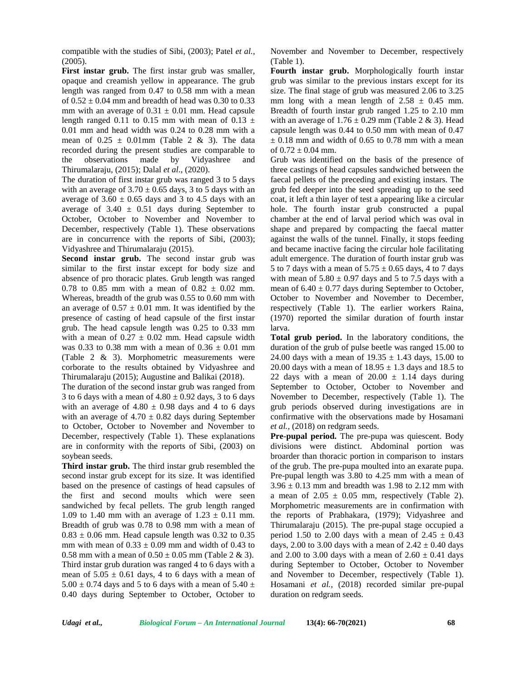compatible with the studies of Sibi, (2003); Patel *et al.,* (2005).

**First instar grub.** The first instar grub was smaller, opaque and creamish yellow in appearance. The grub length was ranged from 0.47 to 0.58 mm with a mean of  $0.52 \pm 0.04$  mm and breadth of head was 0.30 to 0.33 mm with an average of  $0.31 \pm 0.01$  mm. Head capsule length ranged 0.11 to 0.15 mm with mean of 0.13  $\pm$ 0.01 mm and head width was 0.24 to 0.28 mm with a mean of  $0.25 \pm 0.01$  mm (Table 2 & 3). The data recorded during the present studies are comparable to the observations made by Vidyashree and Thirumalaraju, (2015); Dalal *et al*., (2020).

The duration of first instar grub was ranged 3 to 5 days with an average of  $3.70 \pm 0.65$  days, 3 to 5 days with an average of  $3.60 \pm 0.65$  days and 3 to 4.5 days with an average of  $3.40 \pm 0.51$  days during September to October, October to November and November to December, respectively (Table 1). These observations are in concurrence with the reports of Sibi, (2003); Vidyashree and Thirumalaraju (2015).

**Second instar grub.** The second instar grub was similar to the first instar except for body size and absence of pro thoracic plates. Grub length was ranged 0.78 to 0.85 mm with a mean of  $0.82 \pm 0.02$  mm. Whereas, breadth of the grub was 0.55 to 0.60 mm with an average of  $0.57 \pm 0.01$  mm. It was identified by the presence of casting of head capsule of the first instar grub. The head capsule length was 0.25 to 0.33 mm with a mean of  $0.27 \pm 0.02$  mm. Head capsule width was 0.33 to 0.38 mm with a mean of  $0.36 \pm 0.01$  mm (Table 2 & 3). Morphometric measurements were corborate to the results obtained by Vidyashree and Thirumalaraju (2015); Augustine and Balikai (2018).

The duration of the second instar grub was ranged from 3 to 6 days with a mean of  $4.80 \pm 0.92$  days, 3 to 6 days with an average of  $4.80 \pm 0.98$  days and 4 to 6 days with an average of  $4.70 \pm 0.82$  days during September to October, October to November and November to December, respectively (Table 1). These explanations are in conformity with the reports of Sibi, (2003) on soybean seeds.

**Third instar grub.** The third instar grub resembled the second instar grub except for its size. It was identified based on the presence of castings of head capsules of the first and second moults which were seen sandwiched by fecal pellets. The grub length ranged 1.09 to 1.40 mm with an average of  $1.23 \pm 0.11$  mm. Breadth of grub was 0.78 to 0.98 mm with a mean of  $0.83 \pm 0.06$  mm. Head capsule length was 0.32 to 0.35 mm with mean of  $0.33 \pm 0.09$  mm and width of 0.43 to 0.58 mm with a mean of  $0.50 \pm 0.05$  mm (Table 2 & 3). Third instar grub duration was ranged 4 to 6 days with a mean of  $5.05 \pm 0.61$  days, 4 to 6 days with a mean of  $5.00 \pm 0.74$  days and 5 to 6 days with a mean of  $5.40 \pm 0.74$ 0.40 days during September to October, October to

November and November to December, respectively (Table 1).

**Fourth instar grub.** Morphologically fourth instar grub was similar to the previous instars except for its size. The final stage of grub was measured 2.06 to 3.25 mm long with a mean length of  $2.58 \pm 0.45$  mm. Breadth of fourth instar grub ranged 1.25 to 2.10 mm with an average of  $1.76 \pm 0.29$  mm (Table 2 & 3). Head capsule length was 0.44 to 0.50 mm with mean of 0.47  $\pm$  0.18 mm and width of 0.65 to 0.78 mm with a mean of  $0.72 \pm 0.04$  mm.

Grub was identified on the basis of the presence of three castings of head capsules sandwiched between the faecal pellets of the preceding and existing instars. The grub fed deeper into the seed spreading up to the seed coat, it left a thin layer of test a appearing like a circular hole. The fourth instar grub constructed a pupal chamber at the end of larval period which was oval in shape and prepared by compacting the faecal matter against the walls of the tunnel. Finally, it stops feeding and became inactive facing the circular hole facilitating adult emergence. The duration of fourth instar grub was 5 to 7 days with a mean of  $5.75 \pm 0.65$  days, 4 to 7 days with mean of  $5.80 \pm 0.97$  days and 5 to 7.5 days with a mean of  $6.40 \pm 0.77$  days during September to October, October to November and November to December, respectively (Table 1). The earlier workers Raina, (1970) reported the similar duration of fourth instar larva.

**Total grub period.** In the laboratory conditions, the duration of the grub of pulse beetle was ranged 15.00 to 24.00 days with a mean of  $19.35 \pm 1.43$  days, 15.00 to 20.00 days with a mean of  $18.95 \pm 1.3$  days and 18.5 to 22 days with a mean of  $20.00 \pm 1.14$  days during September to October, October to November and November to December, respectively (Table 1). The grub periods observed during investigations are in confirmative with the observations made by Hosamani *et al.,* (2018) on redgram seeds.

**Pre-pupal period.** The pre-pupa was quiescent. Body divisions were distinct. Abdominal portion was broarder than thoracic portion in comparison to instars of the grub. The pre-pupa moulted into an exarate pupa. Pre-pupal length was 3.80 to 4.25 mm with a mean of  $3.96 \pm 0.13$  mm and breadth was 1.98 to 2.12 mm with a mean of  $2.05 \pm 0.05$  mm, respectively (Table 2). Morphometric measurements are in confirmation with the reports of Prabhakara, (1979); Vidyashree and Thirumalaraju (2015). The pre-pupal stage occupied a period 1.50 to 2.00 days with a mean of  $2.45 \pm 0.43$ days, 2.00 to 3.00 days with a mean of  $2.42 \pm 0.40$  days and 2.00 to 3.00 days with a mean of  $2.60 \pm 0.41$  days during September to October, October to November and November to December, respectively (Table 1). Hosamani *et al.,* (2018) recorded similar pre-pupal duration on redgram seeds.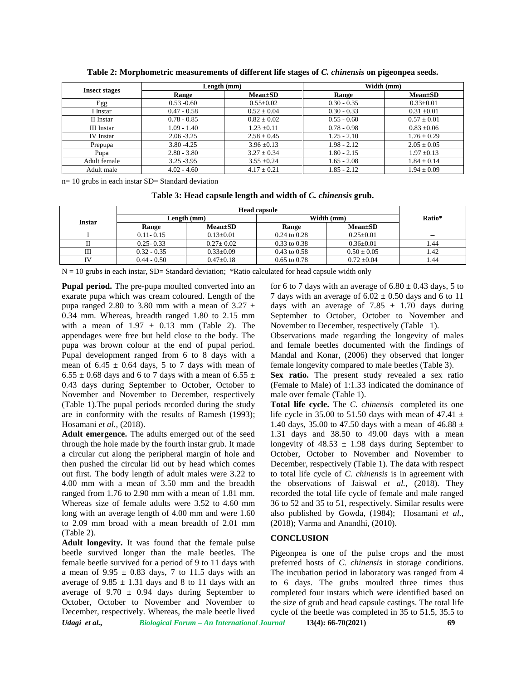|                      |               | Length (mm)     | Width (mm)    |                 |  |
|----------------------|---------------|-----------------|---------------|-----------------|--|
| <b>Insect stages</b> | Range         | $Mean \pm SD$   | Range         | $Mean \pm SD$   |  |
| Egg                  | $0.53 - 0.60$ | $0.55 \pm 0.02$ | $0.30 - 0.35$ | $0.33 \pm 0.01$ |  |
| I Instar             | $0.47 - 0.58$ | $0.52 \pm 0.04$ | $0.30 - 0.33$ | $0.31 \pm 0.01$ |  |
| II Instar            | $0.78 - 0.85$ | $0.82 \pm 0.02$ | $0.55 - 0.60$ | $0.57 \pm 0.01$ |  |
| III Instar           | 1.09 - 1.40   | $1.23 \pm 0.11$ | $0.78 - 0.98$ | $0.83 \pm 0.06$ |  |
| <b>IV</b> Instar     | $2.06 - 3.25$ | $2.58 \pm 0.45$ | 1.25 - 2.10   | $1.76 \pm 0.29$ |  |
| Prepupa              | $3.80 - 4.25$ | $3.96 \pm 0.13$ | $1.98 - 2.12$ | $2.05 \pm 0.05$ |  |
| Pupa                 | $2.80 - 3.80$ | $3.27 \pm 0.34$ | 1.80 - 2.15   | $1.97 \pm 0.13$ |  |
| Adult female         | $3.25 - 3.95$ | $3.55 \pm 0.24$ | $1.65 - 2.08$ | $1.84 \pm 0.14$ |  |
| Adult male           | $4.02 - 4.60$ | $4.17 \pm 0.21$ | $1.85 - 2.12$ | $1.94 + 0.09$   |  |

**Table 2: Morphometric measurements of different life stages of** *C. chinensis* **on pigeonpea seeds.**

n= 10 grubs in each instar SD= Standard deviation

**Table 3: Head capsule length and width of** *C. chinensis* **grub.**

| <b>Instar</b> | Length (mm)   |                 | Width (mm)       | Ratio*          |      |
|---------------|---------------|-----------------|------------------|-----------------|------|
|               | Range         | $Mean \pm SD$   | <b>Range</b>     | $Mean \pm SD$   |      |
|               | $0.11 - 0.15$ | $0.13+0.01$     | $0.24$ to $0.28$ | $0.25 + 0.01$   | -    |
|               | $0.25 - 0.33$ | $0.27 \pm 0.02$ | $0.33$ to $0.38$ | $0.36 + 0.01$   | .44  |
| Ш             | $0.32 - 0.35$ | $0.33+0.09$     | $0.43$ to $0.58$ | $0.50 + 0.05$   | l.42 |
| <b>IV</b>     | $0.44 - 0.50$ | $0.47 \pm 0.18$ | $0.65$ to $0.78$ | $0.72 \pm 0.04$ | . 44 |

 $N = 10$  grubs in each instar, SD= Standard deviation; \*Ratio calculated for head capsule width only

**Pupal period.** The pre-pupa moulted converted into an exarate pupa which was cream coloured. Length of the pupa ranged 2.80 to 3.80 mm with a mean of 3.27  $\pm$ 0.34 mm. Whereas, breadth ranged 1.80 to 2.15 mm with a mean of  $1.97 \pm 0.13$  mm (Table 2). The appendages were free but held close to the body. The pupa was brown colour at the end of pupal period. Pupal development ranged from 6 to 8 days with a mean of  $6.45 \pm 0.64$  days, 5 to 7 days with mean of  $6.55 \pm 0.68$  days and 6 to 7 days with a mean of  $6.55 \pm 0.68$ 0.43 days during September to October, October to November and November to December, respectively (Table 1).The pupal periods recorded during the study are in conformity with the results of Ramesh (1993); Hosamani *et al.,* (2018).

**Adult emergence.** The adults emerged out of the seed through the hole made by the fourth instar grub. It made a circular cut along the peripheral margin of hole and then pushed the circular lid out by head which comes out first. The body length of adult males were 3.22 to 4.00 mm with a mean of 3.50 mm and the breadth ranged from 1.76 to 2.90 mm with a mean of 1.81 mm. Whereas size of female adults were 3.52 to 4.60 mm long with an average length of 4.00 mm and were 1.60 to 2.09 mm broad with a mean breadth of 2.01 mm (Table 2).

*Udagi et al., Biological Forum – An International Journal* **13(4): 66-70(2021) 69 Adult longevity.** It was found that the female pulse beetle survived longer than the male beetles. The female beetle survived for a period of 9 to 11 days with a mean of  $9.95 \pm 0.83$  days, 7 to 11.5 days with an average of  $9.85 \pm 1.31$  days and 8 to 11 days with an average of 9.70  $\pm$  0.94 days during September to October, October to November and November to December, respectively. Whereas, the male beetle lived

for 6 to 7 days with an average of  $6.80 \pm 0.43$  days, 5 to 7 days with an average of  $6.02 \pm 0.50$  days and 6 to 11 days with an average of 7.85  $\pm$  1.70 days during September to October, October to November and November to December, respectively (Table 1).

Observations made regarding the longevity of males and female beetles documented with the findings of Mandal and Konar, (2006) they observed that longer female longevity compared to male beetles (Table 3).

Sex ratio. The present study revealed a sex ratio (Female to Male) of 1:1.33 indicated the dominance of male over female (Table 1).

**Total life cycle.** The *C. chinensis* completed its one life cycle in 35.00 to 51.50 days with mean of 47.41  $\pm$ 1.40 days, 35.00 to 47.50 days with a mean of 46.88  $\pm$ 1.31 days and 38.50 to 49.00 days with a mean longevity of  $48.53 \pm 1.98$  days during September to October, October to November and November to December, respectively (Table 1). The data with respect to total life cycle of *C. chinensis* is in agreement with the observations of Jaiswal *et al.,* (2018). They recorded the total life cycle of female and male ranged 36 to 52 and 35 to 51, respectively. Similar results were also published by Gowda, (1984); Hosamani *et al.,* (2018); Varma and Anandhi, (2010).

### **CONCLUSION**

Pigeonpea is one of the pulse crops and the most preferred hosts of *C. chinensis* in storage conditions. The incubation period in laboratory was ranged from 4 to 6 days. The grubs moulted three times thus completed four instars which were identified based on the size of grub and head capsule castings. The total life cycle of the beetle was completed in 35 to 51.5, 35.5 to